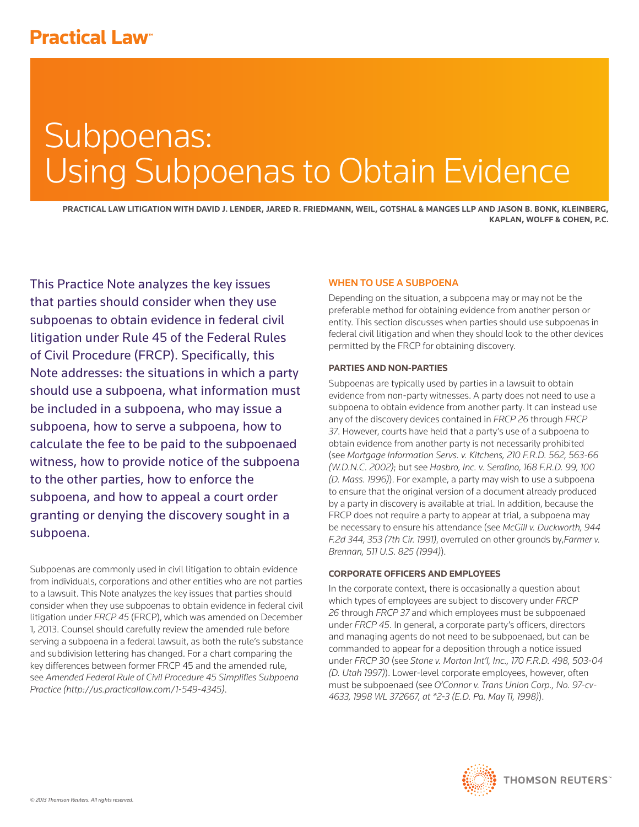# **Practical Law<sup>®</sup>**

# Subpoenas: Using Subpoenas to Obtain Evidence

**PRACTICAL LAW LITIGATION WITH DAVID J. LENDER, JARED R. FRIEDMANN, WEIL, GOTSHAL & MANGES LLP AND JASON B. BONK, KLEINBERG, KAPLAN, WOLFF & COHEN, P.C.**

This Practice Note analyzes the key issues that parties should consider when they use subpoenas to obtain evidence in federal civil litigation under Rule 45 of the Federal Rules of Civil Procedure (FRCP). Specifically, this Note addresses: the situations in which a party should use a subpoena, what information must be included in a subpoena, who may issue a subpoena, how to serve a subpoena, how to calculate the fee to be paid to the subpoenaed witness, how to provide notice of the subpoena to the other parties, how to enforce the subpoena, and how to appeal a court order granting or denying the discovery sought in a subpoena.

Subpoenas are commonly used in civil litigation to obtain evidence from individuals, corporations and other entities who are not parties to a lawsuit. This Note analyzes the key issues that parties should consider when they use subpoenas to obtain evidence in federal civil litigation under *FRCP 45* (FRCP), which was amended on December 1, 2013. Counsel should carefully review the amended rule before serving a subpoena in a federal lawsuit, as both the rule's substance and subdivision lettering has changed. For a chart comparing the key differences between former FRCP 45 and the amended rule, see *Amended Federal Rule of Civil Procedure 45 Simplifies Subpoena Practice (http://us.practicallaw.com/1-549-4345)*.

# WHEN TO USE A SUBPOENA

Depending on the situation, a subpoena may or may not be the preferable method for obtaining evidence from another person or entity. This section discusses when parties should use subpoenas in federal civil litigation and when they should look to the other devices permitted by the FRCP for obtaining discovery.

# **PARTIES AND NON-PARTIES**

Subpoenas are typically used by parties in a lawsuit to obtain evidence from non-party witnesses. A party does not need to use a subpoena to obtain evidence from another party. It can instead use any of the discovery devices contained in *FRCP 26* through *FRCP 37*. However, courts have held that a party's use of a subpoena to obtain evidence from another party is not necessarily prohibited (see *Mortgage Information Servs. v. Kitchens, 210 F.R.D. 562, 563-66 (W.D.N.C. 2002)*; but see *Hasbro, Inc. v. Serafino, 168 F.R.D. 99, 100 (D. Mass. 1996)*). For example, a party may wish to use a subpoena to ensure that the original version of a document already produced by a party in discovery is available at trial. In addition, because the FRCP does not require a party to appear at trial, a subpoena may be necessary to ensure his attendance (see *McGill v. Duckworth, 944 F.2d 344, 353 (7th Cir. 1991)*, overruled on other grounds by,*Farmer v. Brennan, 511 U.S. 825 (1994)*).

# **CORPORATE OFFICERS AND EMPLOYEES**

In the corporate context, there is occasionally a question about which types of employees are subject to discovery under *FRCP 26* through *FRCP 37* and which employees must be subpoenaed under *FRCP 45*. In general, a corporate party's officers, directors and managing agents do not need to be subpoenaed, but can be commanded to appear for a deposition through a notice issued under *FRCP 30* (see *Stone v. Morton Int'l, Inc., 170 F.R.D. 498, 503-04 (D. Utah 1997)*). Lower-level corporate employees, however, often must be subpoenaed (see *O'Connor v. Trans Union Corp., No. 97-cv-4633, 1998 WL 372667, at \*2-3 (E.D. Pa. May 11, 1998)*).

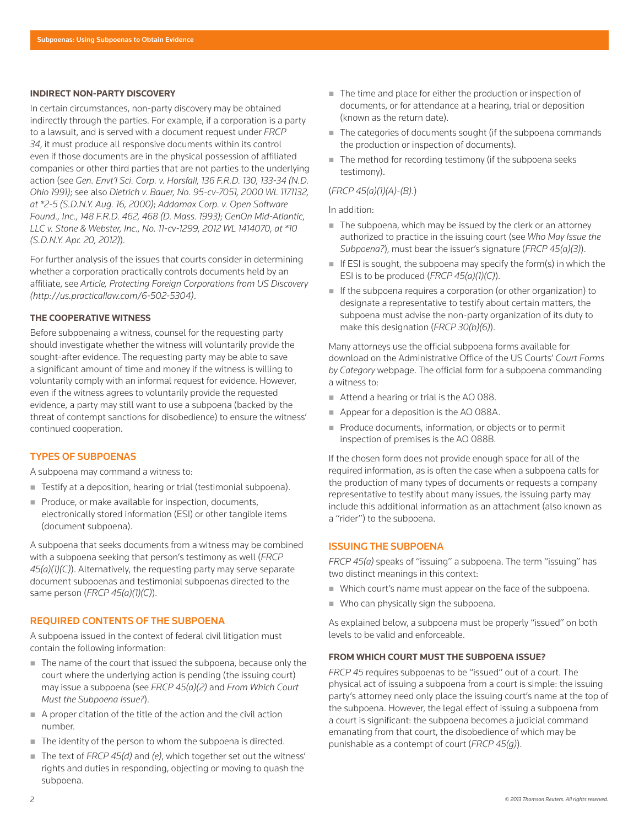#### **INDIRECT NON-PARTY DISCOVERY**

In certain circumstances, non-party discovery may be obtained indirectly through the parties. For example, if a corporation is a party to a lawsuit, and is served with a document request under *FRCP 34*, it must produce all responsive documents within its control even if those documents are in the physical possession of affiliated companies or other third parties that are not parties to the underlying action (see *Gen. Envt'l Sci. Corp. v. Horsfall, 136 F.R.D. 130, 133-34 (N.D. Ohio 1991)*; see also *Dietrich v. Bauer, No. 95-cv-7051, 2000 WL 1171132, at \*2-5 (S.D.N.Y. Aug. 16, 2000)*; *Addamax Corp. v. Open Software Found., Inc., 148 F.R.D. 462, 468 (D. Mass. 1993)*; *GenOn Mid-Atlantic, LLC v. Stone & Webster, Inc., No. 11-cv-1299, 2012 WL 1414070, at \*10 (S.D.N.Y. Apr. 20, 2012)*).

For further analysis of the issues that courts consider in determining whether a corporation practically controls documents held by an affiliate, see *Article, Protecting Foreign Corporations from US Discovery (http://us.practicallaw.com/6-502-5304)*.

# **THE COOPERATIVE WITNESS**

Before subpoenaing a witness, counsel for the requesting party should investigate whether the witness will voluntarily provide the sought-after evidence. The requesting party may be able to save a significant amount of time and money if the witness is willing to voluntarily comply with an informal request for evidence. However, even if the witness agrees to voluntarily provide the requested evidence, a party may still want to use a subpoena (backed by the threat of contempt sanctions for disobedience) to ensure the witness' continued cooperation.

# TYPES OF SUBPOENAS

A subpoena may command a witness to:

- Testify at a deposition, hearing or trial (testimonial subpoena).
- Produce, or make available for inspection, documents, electronically stored information (ESI) or other tangible items (document subpoena).

A subpoena that seeks documents from a witness may be combined with a subpoena seeking that person's testimony as well (*FRCP 45(a)(1)(C)*). Alternatively, the requesting party may serve separate document subpoenas and testimonial subpoenas directed to the same person (*FRCP 45(a)(1)(C)*).

# REQUIRED CONTENTS OF THE SUBPOENA

A subpoena issued in the context of federal civil litigation must contain the following information:

- The name of the court that issued the subpoena, because only the court where the underlying action is pending (the issuing court) may issue a subpoena (see *FRCP 45(a)(2)* and *From Which Court Must the Subpoena Issue?*).
- $\blacksquare$  A proper citation of the title of the action and the civil action number.
- The identity of the person to whom the subpoena is directed.
- The text of *FRCP 45(d)* and (e), which together set out the witness' rights and duties in responding, objecting or moving to quash the subpoena.
- The time and place for either the production or inspection of documents, or for attendance at a hearing, trial or deposition (known as the return date).
- The categories of documents sought (if the subpoena commands the production or inspection of documents).
- $\blacksquare$  The method for recording testimony (if the subpoena seeks testimony).

# (*FRCP 45(a)(1)(A)-(B)*.)

#### In addition:

- $\blacksquare$  The subpoena, which may be issued by the clerk or an attorney authorized to practice in the issuing court (see *Who May Issue the Subpoena?*), must bear the issuer's signature (*FRCP 45(a)(3)*).
- If ESI is sought, the subpoena may specify the form(s) in which the ESI is to be produced (*FRCP 45(a)(1)(C)*).
- If the subpoena requires a corporation (or other organization) to designate a representative to testify about certain matters, the subpoena must advise the non-party organization of its duty to make this designation (*FRCP 30(b)(6)*).

Many attorneys use the official subpoena forms available for download on the Administrative Office of the US Courts' *Court Forms by Category* webpage. The official form for a subpoena commanding a witness to:

- Attend a hearing or trial is the AO 088.
- Appear for a deposition is the AO 088A.
- Produce documents, information, or objects or to permit inspection of premises is the AO 088B.

If the chosen form does not provide enough space for all of the required information, as is often the case when a subpoena calls for the production of many types of documents or requests a company representative to testify about many issues, the issuing party may include this additional information as an attachment (also known as a "rider") to the subpoena.

# ISSUING THE SUBPOENA

*FRCP 45(a)* speaks of "issuing" a subpoena. The term "issuing" has two distinct meanings in this context:

- Which court's name must appear on the face of the subpoena.
- Who can physically sign the subpoena.

As explained below, a subpoena must be properly "issued" on both levels to be valid and enforceable.

# **FROM WHICH COURT MUST THE SUBPOENA ISSUE?**

*FRCP 45* requires subpoenas to be "issued" out of a court. The physical act of issuing a subpoena from a court is simple: the issuing party's attorney need only place the issuing court's name at the top of the subpoena. However, the legal effect of issuing a subpoena from a court is significant: the subpoena becomes a judicial command emanating from that court, the disobedience of which may be punishable as a contempt of court (*FRCP 45(g)*).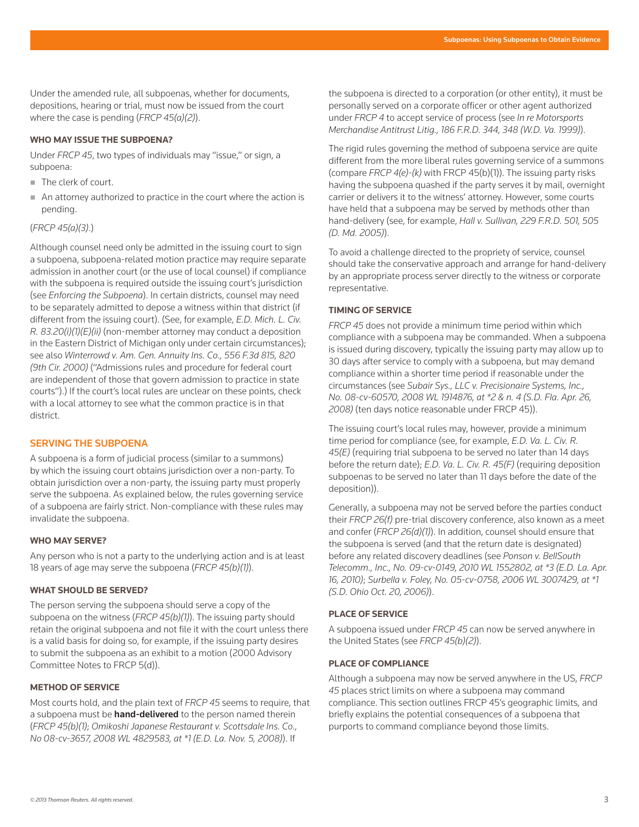Under the amended rule, all subpoenas, whether for documents, depositions, hearing or trial, must now be issued from the court where the case is pending (*FRCP 45(a)(2)*).

#### **WHO MAY ISSUE THE SUBPOENA?**

Under *FRCP 45*, two types of individuals may "issue," or sign, a subpoena:

- The clerk of court.
- An attorney authorized to practice in the court where the action is pending.

#### (*FRCP 45(a)(3)*.)

Although counsel need only be admitted in the issuing court to sign a subpoena, subpoena-related motion practice may require separate admission in another court (or the use of local counsel) if compliance with the subpoena is required outside the issuing court's jurisdiction (see *Enforcing the Subpoena*). In certain districts, counsel may need to be separately admitted to depose a witness within that district (if different from the issuing court). (See, for example, *E.D. Mich. L. Civ. R. 83.20(i)(1)(E)(ii)* (non-member attorney may conduct a deposition in the Eastern District of Michigan only under certain circumstances); see also *Winterrowd v. Am. Gen. Annuity Ins. Co., 556 F.3d 815, 820 (9th Cir. 2000)* ("Admissions rules and procedure for federal court are independent of those that govern admission to practice in state courts").) If the court's local rules are unclear on these points, check with a local attorney to see what the common practice is in that district.

#### SERVING THE SUBPOENA

A subpoena is a form of judicial process (similar to a summons) by which the issuing court obtains jurisdiction over a non-party. To obtain jurisdiction over a non-party, the issuing party must properly serve the subpoena. As explained below, the rules governing service of a subpoena are fairly strict. Non-compliance with these rules may invalidate the subpoena.

# **WHO MAY SERVE?**

Any person who is not a party to the underlying action and is at least 18 years of age may serve the subpoena (*FRCP 45(b)(1)*).

# **WHAT SHOULD BE SERVED?**

The person serving the subpoena should serve a copy of the subpoena on the witness (*FRCP 45(b)(1)*). The issuing party should retain the original subpoena and not file it with the court unless there is a valid basis for doing so, for example, if the issuing party desires to submit the subpoena as an exhibit to a motion (2000 Advisory Committee Notes to FRCP 5(d)).

# **METHOD OF SERVICE**

Most courts hold, and the plain text of *FRCP 45* seems to require, that a subpoena must be hand-delivered to the person named therein (*FRCP 45(b)(1)*; *Omikoshi Japanese Restaurant v. Scottsdale Ins. Co., No 08-cv-3657, 2008 WL 4829583, at \*1 (E.D. La. Nov. 5, 2008)*). If

the subpoena is directed to a corporation (or other entity), it must be personally served on a corporate officer or other agent authorized under *FRCP 4* to accept service of process (see *In re Motorsports Merchandise Antitrust Litig., 186 F.R.D. 344, 348 (W.D. Va. 1999)*).

The rigid rules governing the method of subpoena service are quite different from the more liberal rules governing service of a summons (compare *FRCP 4(e)-(k)* with FRCP 45(b)(1)). The issuing party risks having the subpoena quashed if the party serves it by mail, overnight carrier or delivers it to the witness' attorney. However, some courts have held that a subpoena may be served by methods other than hand-delivery (see, for example, *Hall v. Sullivan, 229 F.R.D. 501, 505 (D. Md. 2005)*).

To avoid a challenge directed to the propriety of service, counsel should take the conservative approach and arrange for hand-delivery by an appropriate process server directly to the witness or corporate representative.

# **TIMING OF SERVICE**

*FRCP 45* does not provide a minimum time period within which compliance with a subpoena may be commanded. When a subpoena is issued during discovery, typically the issuing party may allow up to 30 days after service to comply with a subpoena, but may demand compliance within a shorter time period if reasonable under the circumstances (see *Subair Sys., LLC v. Precisionaire Systems, Inc., No. 08-cv-60570, 2008 WL 1914876, at \*2 & n. 4 (S.D. Fla. Apr. 26, 2008)* (ten days notice reasonable under FRCP 45)).

The issuing court's local rules may, however, provide a minimum time period for compliance (see, for example, *E.D. Va. L. Civ. R. 45(E)* (requiring trial subpoena to be served no later than 14 days before the return date); *E.D. Va. L. Civ. R. 45(F)* (requiring deposition subpoenas to be served no later than 11 days before the date of the deposition)).

Generally, a subpoena may not be served before the parties conduct their *FRCP 26(f)* pre-trial discovery conference, also known as a meet and confer (*FRCP 26(d)(1)*). In addition, counsel should ensure that the subpoena is served (and that the return date is designated) before any related discovery deadlines (see *Ponson v. BellSouth Telecomm., Inc., No. 09-cv-0149, 2010 WL 1552802, at \*3 (E.D. La. Apr. 16, 2010)*; *Surbella v. Foley, No. 05-cv-0758, 2006 WL 3007429, at \*1 (S.D. Ohio Oct. 20, 2006)*).

#### **PLACE OF SERVICE**

A subpoena issued under *FRCP 45* can now be served anywhere in the United States (see *FRCP 45(b)(2)*).

#### **PLACE OF COMPLIANCE**

Although a subpoena may now be served anywhere in the US, *FRCP 45* places strict limits on where a subpoena may command compliance. This section outlines FRCP 45's geographic limits, and briefly explains the potential consequences of a subpoena that purports to command compliance beyond those limits.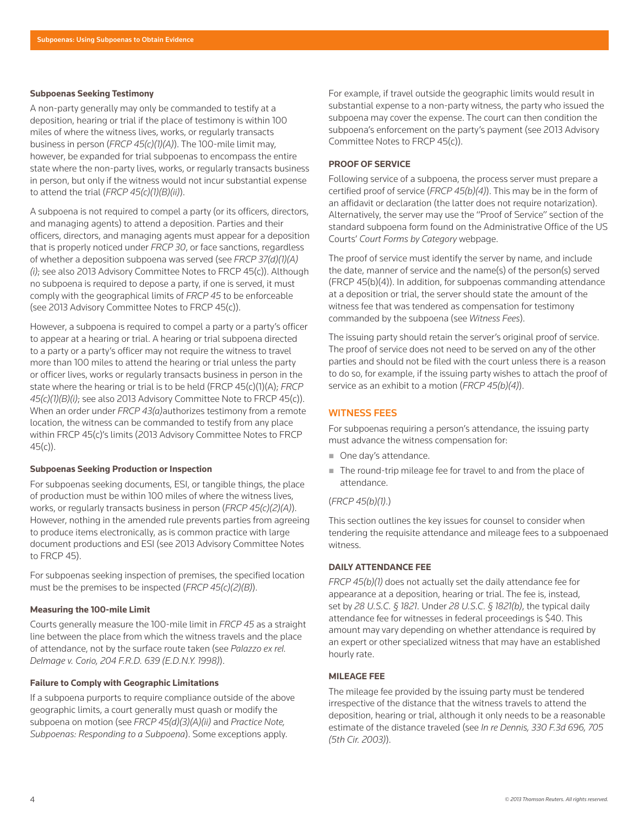#### **Subpoenas Seeking Testimony**

A non-party generally may only be commanded to testify at a deposition, hearing or trial if the place of testimony is within 100 miles of where the witness lives, works, or regularly transacts business in person (*FRCP 45(c)(1)(A)*). The 100-mile limit may, however, be expanded for trial subpoenas to encompass the entire state where the non-party lives, works, or regularly transacts business in person, but only if the witness would not incur substantial expense to attend the trial (*FRCP 45(c)(1)(B)(ii)*).

A subpoena is not required to compel a party (or its officers, directors, and managing agents) to attend a deposition. Parties and their officers, directors, and managing agents must appear for a deposition that is properly noticed under *FRCP 30*, or face sanctions, regardless of whether a deposition subpoena was served (see *FRCP 37(d)(1)(A) (i)*; see also 2013 Advisory Committee Notes to FRCP 45(c)). Although no subpoena is required to depose a party, if one is served, it must comply with the geographical limits of *FRCP 45* to be enforceable (see 2013 Advisory Committee Notes to FRCP 45(c)).

However, a subpoena is required to compel a party or a party's officer to appear at a hearing or trial. A hearing or trial subpoena directed to a party or a party's officer may not require the witness to travel more than 100 miles to attend the hearing or trial unless the party or officer lives, works or regularly transacts business in person in the state where the hearing or trial is to be held (FRCP 45(c)(1)(A); *FRCP 45(c)(1)(B)(i)*; see also 2013 Advisory Committee Note to FRCP 45(c)). When an order under *FRCP 43(a)*authorizes testimony from a remote location, the witness can be commanded to testify from any place within FRCP 45(c)'s limits (2013 Advisory Committee Notes to FRCP  $45(c)$ ).

#### **Subpoenas Seeking Production or Inspection**

For subpoenas seeking documents, ESI, or tangible things, the place of production must be within 100 miles of where the witness lives, works, or regularly transacts business in person (*FRCP 45(c)(2)(A)*). However, nothing in the amended rule prevents parties from agreeing to produce items electronically, as is common practice with large document productions and ESI (see 2013 Advisory Committee Notes to FRCP 45).

For subpoenas seeking inspection of premises, the specified location must be the premises to be inspected (*FRCP 45(c)(2)(B)*).

# **Measuring the 100-mile Limit**

Courts generally measure the 100-mile limit in *FRCP 45* as a straight line between the place from which the witness travels and the place of attendance, not by the surface route taken (see *Palazzo ex rel. Delmage v. Corio, 204 F.R.D. 639 (E.D.N.Y. 1998)*).

#### **Failure to Comply with Geographic Limitations**

If a subpoena purports to require compliance outside of the above geographic limits, a court generally must quash or modify the subpoena on motion (see *FRCP 45(d)(3)(A)(ii)* and *Practice Note, Subpoenas: Responding to a Subpoena*). Some exceptions apply.

For example, if travel outside the geographic limits would result in substantial expense to a non-party witness, the party who issued the subpoena may cover the expense. The court can then condition the subpoena's enforcement on the party's payment (see 2013 Advisory Committee Notes to FRCP 45(c)).

### **PROOF OF SERVICE**

Following service of a subpoena, the process server must prepare a certified proof of service (*FRCP 45(b)(4)*). This may be in the form of an affidavit or declaration (the latter does not require notarization). Alternatively, the server may use the "Proof of Service" section of the standard subpoena form found on the Administrative Office of the US Courts' *Court Forms by Category* webpage.

The proof of service must identify the server by name, and include the date, manner of service and the name(s) of the person(s) served (FRCP 45(b)(4)). In addition, for subpoenas commanding attendance at a deposition or trial, the server should state the amount of the witness fee that was tendered as compensation for testimony commanded by the subpoena (see *Witness Fees*).

The issuing party should retain the server's original proof of service. The proof of service does not need to be served on any of the other parties and should not be filed with the court unless there is a reason to do so, for example, if the issuing party wishes to attach the proof of service as an exhibit to a motion (*FRCP 45(b)(4)*).

# WITNESS FEES

For subpoenas requiring a person's attendance, the issuing party must advance the witness compensation for:

- One day's attendance.
- The round-trip mileage fee for travel to and from the place of attendance.

# (*FRCP 45(b)(1)*.)

This section outlines the key issues for counsel to consider when tendering the requisite attendance and mileage fees to a subpoenaed witness.

# **DAILY ATTENDANCE FEE**

*FRCP 45(b)(1)* does not actually set the daily attendance fee for appearance at a deposition, hearing or trial. The fee is, instead, set by *28 U.S.C. § 1821*. Under *28 U.S.C. § 1821(b)*, the typical daily attendance fee for witnesses in federal proceedings is \$40. This amount may vary depending on whether attendance is required by an expert or other specialized witness that may have an established hourly rate.

# **MILEAGE FEE**

The mileage fee provided by the issuing party must be tendered irrespective of the distance that the witness travels to attend the deposition, hearing or trial, although it only needs to be a reasonable estimate of the distance traveled (see *In re Dennis, 330 F.3d 696, 705 (5th Cir. 2003)*).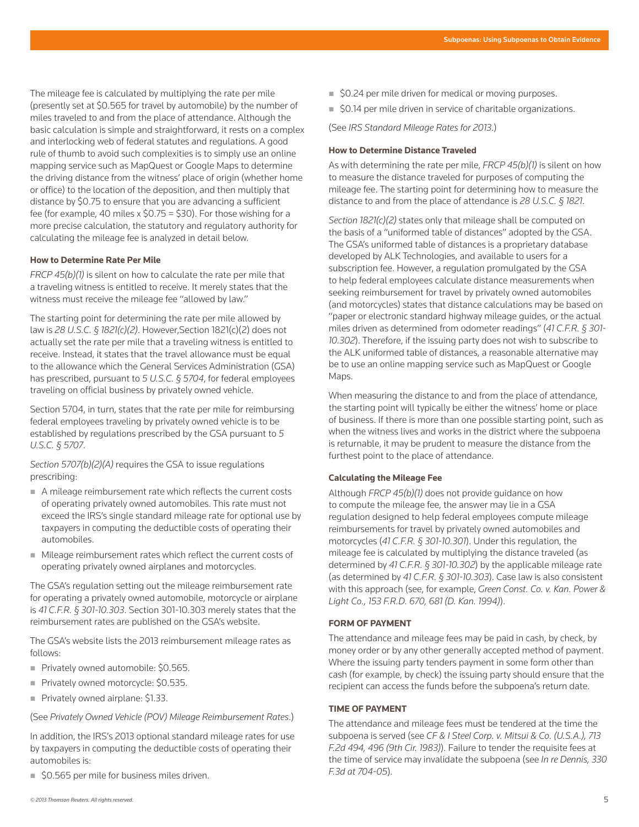The mileage fee is calculated by multiplying the rate per mile (presently set at \$0.565 for travel by automobile) by the number of miles traveled to and from the place of attendance. Although the basic calculation is simple and straightforward, it rests on a complex and interlocking web of federal statutes and regulations. A good rule of thumb to avoid such complexities is to simply use an online mapping service such as MapQuest or Google Maps to determine the driving distance from the witness' place of origin (whether home or office) to the location of the deposition, and then multiply that distance by \$0.75 to ensure that you are advancing a sufficient fee (for example, 40 miles x  $$0.75 = $30$ ). For those wishing for a more precise calculation, the statutory and regulatory authority for calculating the mileage fee is analyzed in detail below.

# **How to Determine Rate Per Mile**

*FRCP 45(b)(1)* is silent on how to calculate the rate per mile that a traveling witness is entitled to receive. It merely states that the witness must receive the mileage fee "allowed by law."

The starting point for determining the rate per mile allowed by law is *28 U.S.C. § 1821(c)(2)*. However,Section 1821(c)(2) does not actually set the rate per mile that a traveling witness is entitled to receive. Instead, it states that the travel allowance must be equal to the allowance which the General Services Administration (GSA) has prescribed, pursuant to *5 U.S.C. § 5704*, for federal employees traveling on official business by privately owned vehicle.

Section 5704, in turn, states that the rate per mile for reimbursing federal employees traveling by privately owned vehicle is to be established by regulations prescribed by the GSA pursuant to *5 U.S.C. § 5707*.

*Section 5707(b)(2)(A)* requires the GSA to issue regulations prescribing:

- A mileage reimbursement rate which reflects the current costs of operating privately owned automobiles. This rate must not exceed the IRS's single standard mileage rate for optional use by taxpayers in computing the deductible costs of operating their automobiles.
- Mileage reimbursement rates which reflect the current costs of operating privately owned airplanes and motorcycles.

The GSA's regulation setting out the mileage reimbursement rate for operating a privately owned automobile, motorcycle or airplane is *41 C.F.R. § 301-10.303*. Section 301-10.303 merely states that the reimbursement rates are published on the GSA's website.

The GSA's website lists the 2013 reimbursement mileage rates as follows:

- Privately owned automobile: \$0.565.
- Privately owned motorcycle: \$0.535.
- **Privately owned airplane: \$1.33.**

(See *Privately Owned Vehicle (POV) Mileage Reimbursement Rates*.)

In addition, the IRS's 2013 optional standard mileage rates for use by taxpayers in computing the deductible costs of operating their automobiles is:

■ \$0.565 per mile for business miles driven.

- \$0.24 per mile driven for medical or moving purposes.
- \$0.14 per mile driven in service of charitable organizations.

(See *IRS Standard Mileage Rates for 2013*.)

#### **How to Determine Distance Traveled**

As with determining the rate per mile, *FRCP 45(b)(1)* is silent on how to measure the distance traveled for purposes of computing the mileage fee. The starting point for determining how to measure the distance to and from the place of attendance is *28 U.S.C. § 1821*.

*Section 1821(c)(2)* states only that mileage shall be computed on the basis of a "uniformed table of distances" adopted by the GSA. The GSA's uniformed table of distances is a proprietary database developed by ALK Technologies, and available to users for a subscription fee. However, a regulation promulgated by the GSA to help federal employees calculate distance measurements when seeking reimbursement for travel by privately owned automobiles (and motorcycles) states that distance calculations may be based on "paper or electronic standard highway mileage guides, or the actual miles driven as determined from odometer readings" (*41 C.F.R. § 301- 10.302*). Therefore, if the issuing party does not wish to subscribe to the ALK uniformed table of distances, a reasonable alternative may be to use an online mapping service such as MapQuest or Google Maps.

When measuring the distance to and from the place of attendance, the starting point will typically be either the witness' home or place of business. If there is more than one possible starting point, such as when the witness lives and works in the district where the subpoena is returnable, it may be prudent to measure the distance from the furthest point to the place of attendance.

# **Calculating the Mileage Fee**

Although *FRCP 45(b)(1)* does not provide guidance on how to compute the mileage fee, the answer may lie in a GSA regulation designed to help federal employees compute mileage reimbursements for travel by privately owned automobiles and motorcycles (*41 C.F.R. § 301-10.301*). Under this regulation, the mileage fee is calculated by multiplying the distance traveled (as determined by *41 C.F.R. § 301-10.302*) by the applicable mileage rate (as determined by *41 C.F.R. § 301-10.303*). Case law is also consistent with this approach (see, for example, *Green Const. Co. v. Kan. Power & Light Co., 153 F.R.D. 670, 681 (D. Kan. 1994)*).

# **FORM OF PAYMENT**

The attendance and mileage fees may be paid in cash, by check, by money order or by any other generally accepted method of payment. Where the issuing party tenders payment in some form other than cash (for example, by check) the issuing party should ensure that the recipient can access the funds before the subpoena's return date.

#### **TIME OF PAYMENT**

The attendance and mileage fees must be tendered at the time the subpoena is served (see *CF & I Steel Corp. v. Mitsui & Co. (U.S.A.), 713 F.2d 494, 496 (9th Cir. 1983)*). Failure to tender the requisite fees at the time of service may invalidate the subpoena (see *In re Dennis, 330 F.3d at 704-05*).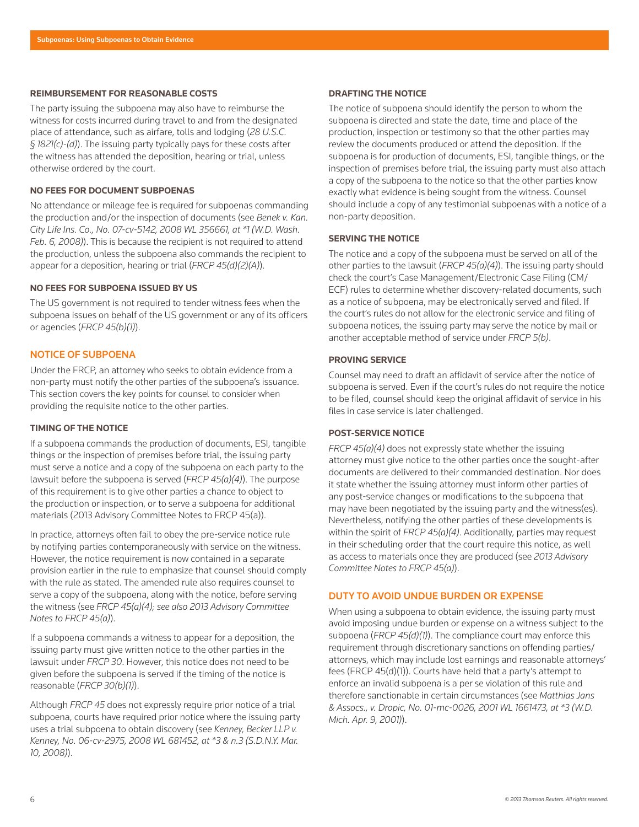#### **REIMBURSEMENT FOR REASONABLE COSTS**

The party issuing the subpoena may also have to reimburse the witness for costs incurred during travel to and from the designated place of attendance, such as airfare, tolls and lodging (*28 U.S.C. § 1821(c)-(d)*). The issuing party typically pays for these costs after the witness has attended the deposition, hearing or trial, unless otherwise ordered by the court.

# **NO FEES FOR DOCUMENT SUBPOENAS**

No attendance or mileage fee is required for subpoenas commanding the production and/or the inspection of documents (see *Benek v. Kan. City Life Ins. Co., No. 07-cv-5142, 2008 WL 356661, at \*1 (W.D. Wash. Feb. 6, 2008)*). This is because the recipient is not required to attend the production, unless the subpoena also commands the recipient to appear for a deposition, hearing or trial (*FRCP 45(d)(2)(A)*).

# **NO FEES FOR SUBPOENA ISSUED BY US**

The US government is not required to tender witness fees when the subpoena issues on behalf of the US government or any of its officers or agencies (*FRCP 45(b)(1)*).

# NOTICE OF SUBPOENA

Under the FRCP, an attorney who seeks to obtain evidence from a non-party must notify the other parties of the subpoena's issuance. This section covers the key points for counsel to consider when providing the requisite notice to the other parties.

# **TIMING OF THE NOTICE**

If a subpoena commands the production of documents, ESI, tangible things or the inspection of premises before trial, the issuing party must serve a notice and a copy of the subpoena on each party to the lawsuit before the subpoena is served (*FRCP 45(a)(4)*). The purpose of this requirement is to give other parties a chance to object to the production or inspection, or to serve a subpoena for additional materials (2013 Advisory Committee Notes to FRCP 45(a)).

In practice, attorneys often fail to obey the pre-service notice rule by notifying parties contemporaneously with service on the witness. However, the notice requirement is now contained in a separate provision earlier in the rule to emphasize that counsel should comply with the rule as stated. The amended rule also requires counsel to serve a copy of the subpoena, along with the notice, before serving the witness (see *FRCP 45(a)(4); see also 2013 Advisory Committee Notes to FRCP 45(a)*).

If a subpoena commands a witness to appear for a deposition, the issuing party must give written notice to the other parties in the lawsuit under *FRCP 30*. However, this notice does not need to be given before the subpoena is served if the timing of the notice is reasonable (*FRCP 30(b)(1)*).

Although *FRCP 45* does not expressly require prior notice of a trial subpoena, courts have required prior notice where the issuing party uses a trial subpoena to obtain discovery (see *Kenney, Becker LLP v. Kenney, No. 06-cv-2975, 2008 WL 681452, at \*3 & n.3 (S.D.N.Y. Mar. 10, 2008)*).

#### **DRAFTING THE NOTICE**

The notice of subpoena should identify the person to whom the subpoena is directed and state the date, time and place of the production, inspection or testimony so that the other parties may review the documents produced or attend the deposition. If the subpoena is for production of documents, ESI, tangible things, or the inspection of premises before trial, the issuing party must also attach a copy of the subpoena to the notice so that the other parties know exactly what evidence is being sought from the witness. Counsel should include a copy of any testimonial subpoenas with a notice of a non-party deposition.

#### **SERVING THE NOTICE**

The notice and a copy of the subpoena must be served on all of the other parties to the lawsuit (*FRCP 45(a)(4)*). The issuing party should check the court's Case Management/Electronic Case Filing (CM/ ECF) rules to determine whether discovery-related documents, such as a notice of subpoena, may be electronically served and filed. If the court's rules do not allow for the electronic service and filing of subpoena notices, the issuing party may serve the notice by mail or another acceptable method of service under *FRCP 5(b)*.

# **PROVING SERVICE**

Counsel may need to draft an affidavit of service after the notice of subpoena is served. Even if the court's rules do not require the notice to be filed, counsel should keep the original affidavit of service in his files in case service is later challenged.

# **POST-SERVICE NOTICE**

*FRCP 45(a)(4)* does not expressly state whether the issuing attorney must give notice to the other parties once the sought-after documents are delivered to their commanded destination. Nor does it state whether the issuing attorney must inform other parties of any post-service changes or modifications to the subpoena that may have been negotiated by the issuing party and the witness(es). Nevertheless, notifying the other parties of these developments is within the spirit of *FRCP 45(a)(4)*. Additionally, parties may request in their scheduling order that the court require this notice, as well as access to materials once they are produced (see *2013 Advisory Committee Notes to FRCP 45(a)*).

# DUTY TO AVOID UNDUE BURDEN OR EXPENSE

When using a subpoena to obtain evidence, the issuing party must avoid imposing undue burden or expense on a witness subject to the subpoena (*FRCP 45(d)(1)*). The compliance court may enforce this requirement through discretionary sanctions on offending parties/ attorneys, which may include lost earnings and reasonable attorneys' fees (FRCP 45(d)(1)). Courts have held that a party's attempt to enforce an invalid subpoena is a per se violation of this rule and therefore sanctionable in certain circumstances (see *Matthias Jans & Assocs., v. Dropic, No. 01-mc-0026, 2001 WL 1661473, at \*3 (W.D. Mich. Apr. 9, 2001)*).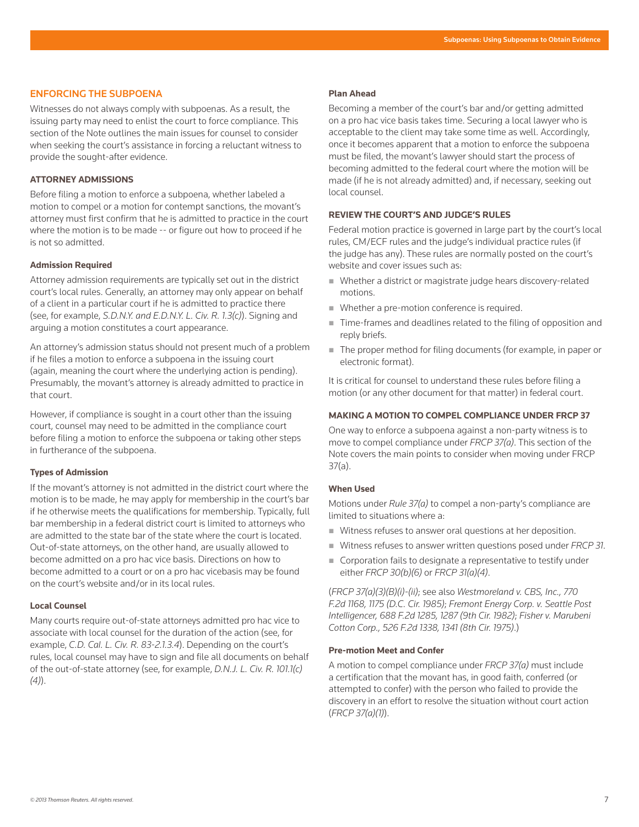# ENFORCING THE SUBPOENA

Witnesses do not always comply with subpoenas. As a result, the issuing party may need to enlist the court to force compliance. This section of the Note outlines the main issues for counsel to consider when seeking the court's assistance in forcing a reluctant witness to provide the sought-after evidence.

# **ATTORNEY ADMISSIONS**

Before filing a motion to enforce a subpoena, whether labeled a motion to compel or a motion for contempt sanctions, the movant's attorney must first confirm that he is admitted to practice in the court where the motion is to be made -- or figure out how to proceed if he is not so admitted.

# **Admission Required**

Attorney admission requirements are typically set out in the district court's local rules. Generally, an attorney may only appear on behalf of a client in a particular court if he is admitted to practice there (see, for example, *S.D.N.Y. and E.D.N.Y. L. Civ. R. 1.3(c)*). Signing and arguing a motion constitutes a court appearance.

An attorney's admission status should not present much of a problem if he files a motion to enforce a subpoena in the issuing court (again, meaning the court where the underlying action is pending). Presumably, the movant's attorney is already admitted to practice in that court.

However, if compliance is sought in a court other than the issuing court, counsel may need to be admitted in the compliance court before filing a motion to enforce the subpoena or taking other steps in furtherance of the subpoena.

# **Types of Admission**

If the movant's attorney is not admitted in the district court where the motion is to be made, he may apply for membership in the court's bar if he otherwise meets the qualifications for membership. Typically, full bar membership in a federal district court is limited to attorneys who are admitted to the state bar of the state where the court is located. Out-of-state attorneys, on the other hand, are usually allowed to become admitted on a pro hac vice basis. Directions on how to become admitted to a court or on a pro hac vicebasis may be found on the court's website and/or in its local rules.

#### **Local Counsel**

Many courts require out-of-state attorneys admitted pro hac vice to associate with local counsel for the duration of the action (see, for example, *C.D. Cal. L. Civ. R. 83-2.1.3.4*). Depending on the court's rules, local counsel may have to sign and file all documents on behalf of the out-of-state attorney (see, for example, *D.N.J. L. Civ. R. 101.1(c) (4)*).

#### **Plan Ahead**

Becoming a member of the court's bar and/or getting admitted on a pro hac vice basis takes time. Securing a local lawyer who is acceptable to the client may take some time as well. Accordingly, once it becomes apparent that a motion to enforce the subpoena must be filed, the movant's lawyer should start the process of becoming admitted to the federal court where the motion will be made (if he is not already admitted) and, if necessary, seeking out local counsel.

#### **REVIEW THE COURT'S AND JUDGE'S RULES**

Federal motion practice is governed in large part by the court's local rules, CM/ECF rules and the judge's individual practice rules (if the judge has any). These rules are normally posted on the court's website and cover issues such as:

- Whether a district or magistrate judge hears discovery-related motions.
- Whether a pre-motion conference is required.
- Time-frames and deadlines related to the filing of opposition and reply briefs.
- The proper method for filing documents (for example, in paper or electronic format).

It is critical for counsel to understand these rules before filing a motion (or any other document for that matter) in federal court.

# **MAKING A MOTION TO COMPEL COMPLIANCE UNDER FRCP 37**

One way to enforce a subpoena against a non-party witness is to move to compel compliance under *FRCP 37(a)*. This section of the Note covers the main points to consider when moving under FRCP 37(a).

# **When Used**

Motions under *Rule 37(a)* to compel a non-party's compliance are limited to situations where a:

- Witness refuses to answer oral questions at her deposition.
- Witness refuses to answer written questions posed under *FRCP 31*.
- Corporation fails to designate a representative to testify under either *FRCP 30(b)(6)* or *FRCP 31(a)(4)*.

(*FRCP 37(a)(3)(B)(i)-(ii)*; see also *Westmoreland v. CBS, Inc., 770 F.2d 1168, 1175 (D.C. Cir. 1985)*; *Fremont Energy Corp. v. Seattle Post Intelligencer, 688 F.2d 1285, 1287 (9th Cir. 1982)*; *Fisher v. Marubeni Cotton Corp., 526 F.2d 1338, 1341 (8th Cir. 1975)*.)

#### **Pre-motion Meet and Confer**

A motion to compel compliance under *FRCP 37(a)* must include a certification that the movant has, in good faith, conferred (or attempted to confer) with the person who failed to provide the discovery in an effort to resolve the situation without court action (*FRCP 37(a)(1)*).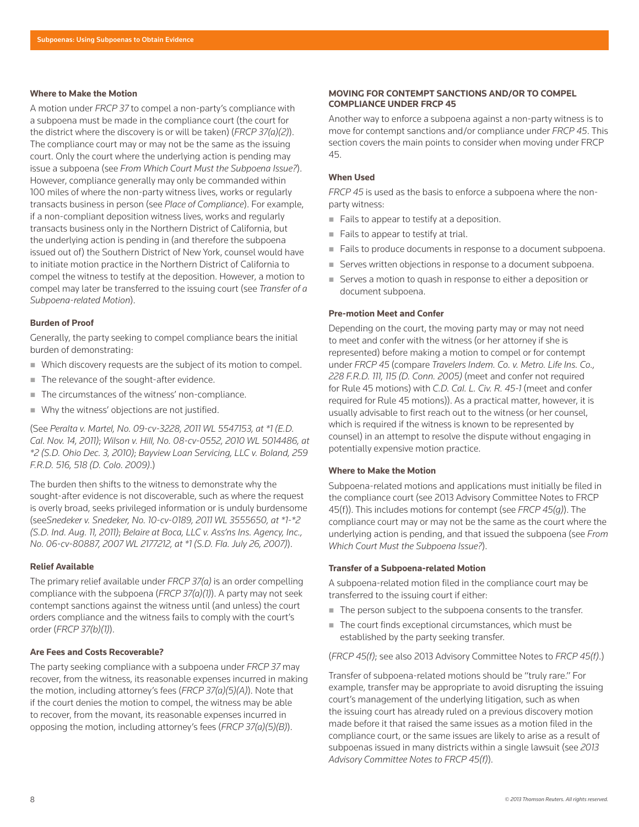#### **Where to Make the Motion**

A motion under *FRCP 37* to compel a non-party's compliance with a subpoena must be made in the compliance court (the court for the district where the discovery is or will be taken) (*FRCP 37(a)(2)*). The compliance court may or may not be the same as the issuing court. Only the court where the underlying action is pending may issue a subpoena (see *From Which Court Must the Subpoena Issue?*). However, compliance generally may only be commanded within 100 miles of where the non-party witness lives, works or regularly transacts business in person (see *Place of Compliance*). For example, if a non-compliant deposition witness lives, works and regularly transacts business only in the Northern District of California, but the underlying action is pending in (and therefore the subpoena issued out of) the Southern District of New York, counsel would have to initiate motion practice in the Northern District of California to compel the witness to testify at the deposition. However, a motion to compel may later be transferred to the issuing court (see *Transfer of a Subpoena-related Motion*).

#### **Burden of Proof**

Generally, the party seeking to compel compliance bears the initial burden of demonstrating:

- Which discovery requests are the subject of its motion to compel.
- The relevance of the sought-after evidence.
- The circumstances of the witness' non-compliance.
- Why the witness' objections are not justified.

(See *Peralta v. Martel, No. 09-cv-3228, 2011 WL 5547153, at \*1 (E.D. Cal. Nov. 14, 2011)*; *Wilson v. Hill, No. 08-cv-0552, 2010 WL 5014486, at \*2 (S.D. Ohio Dec. 3, 2010)*; *Bayview Loan Servicing, LLC v. Boland, 259 F.R.D. 516, 518 (D. Colo. 2009)*.)

The burden then shifts to the witness to demonstrate why the sought-after evidence is not discoverable, such as where the request is overly broad, seeks privileged information or is unduly burdensome (see*Snedeker v. Snedeker, No. 10-cv-0189, 2011 WL 3555650, at \*1-\*2 (S.D. Ind. Aug. 11, 2011)*; *Belaire at Boca, LLC v. Ass'ns Ins. Agency, Inc., No. 06-cv-80887, 2007 WL 2177212, at \*1 (S.D. Fla. July 26, 2007)*).

#### **Relief Available**

The primary relief available under *FRCP 37(a)* is an order compelling compliance with the subpoena (*FRCP 37(a)(1)*). A party may not seek contempt sanctions against the witness until (and unless) the court orders compliance and the witness fails to comply with the court's order (*FRCP 37(b)(1)*).

#### **Are Fees and Costs Recoverable?**

The party seeking compliance with a subpoena under *FRCP 37* may recover, from the witness, its reasonable expenses incurred in making the motion, including attorney's fees (*FRCP 37(a)(5)(A)*). Note that if the court denies the motion to compel, the witness may be able to recover, from the movant, its reasonable expenses incurred in opposing the motion, including attorney's fees (*FRCP 37(a)(5)(B)*).

# **MOVING FOR CONTEMPT SANCTIONS AND/OR TO COMPEL COMPLIANCE UNDER FRCP 45**

Another way to enforce a subpoena against a non-party witness is to move for contempt sanctions and/or compliance under *FRCP 45*. This section covers the main points to consider when moving under FRCP 45.

# **When Used**

*FRCP 45* is used as the basis to enforce a subpoena where the nonparty witness:

- Fails to appear to testify at a deposition.
- Fails to appear to testify at trial.
- Fails to produce documents in response to a document subpoena.
- Serves written objections in response to a document subpoena.
- Serves a motion to quash in response to either a deposition or document subpoena.

#### **Pre-motion Meet and Confer**

Depending on the court, the moving party may or may not need to meet and confer with the witness (or her attorney if she is represented) before making a motion to compel or for contempt under *FRCP 45* (compare *Travelers Indem. Co. v. Metro. Life Ins. Co., 228 F.R.D. 111, 115 (D. Conn. 2005)* (meet and confer not required for Rule 45 motions) with *C.D. Cal. L. Civ. R. 45-1* (meet and confer required for Rule 45 motions)). As a practical matter, however, it is usually advisable to first reach out to the witness (or her counsel, which is required if the witness is known to be represented by counsel) in an attempt to resolve the dispute without engaging in potentially expensive motion practice.

#### **Where to Make the Motion**

Subpoena-related motions and applications must initially be filed in the compliance court (see 2013 Advisory Committee Notes to FRCP 45(f)). This includes motions for contempt (see *FRCP 45(g)*). The compliance court may or may not be the same as the court where the underlying action is pending, and that issued the subpoena (see *From Which Court Must the Subpoena Issue?*).

# **Transfer of a Subpoena-related Motion**

A subpoena-related motion filed in the compliance court may be transferred to the issuing court if either:

- The person subject to the subpoena consents to the transfer.
- The court finds exceptional circumstances, which must be established by the party seeking transfer.

(*FRCP 45(f)*; see also 2013 Advisory Committee Notes to *FRCP 45(f)*.)

Transfer of subpoena-related motions should be "truly rare." For example, transfer may be appropriate to avoid disrupting the issuing court's management of the underlying litigation, such as when the issuing court has already ruled on a previous discovery motion made before it that raised the same issues as a motion filed in the compliance court, or the same issues are likely to arise as a result of subpoenas issued in many districts within a single lawsuit (see *2013 Advisory Committee Notes to FRCP 45(f)*).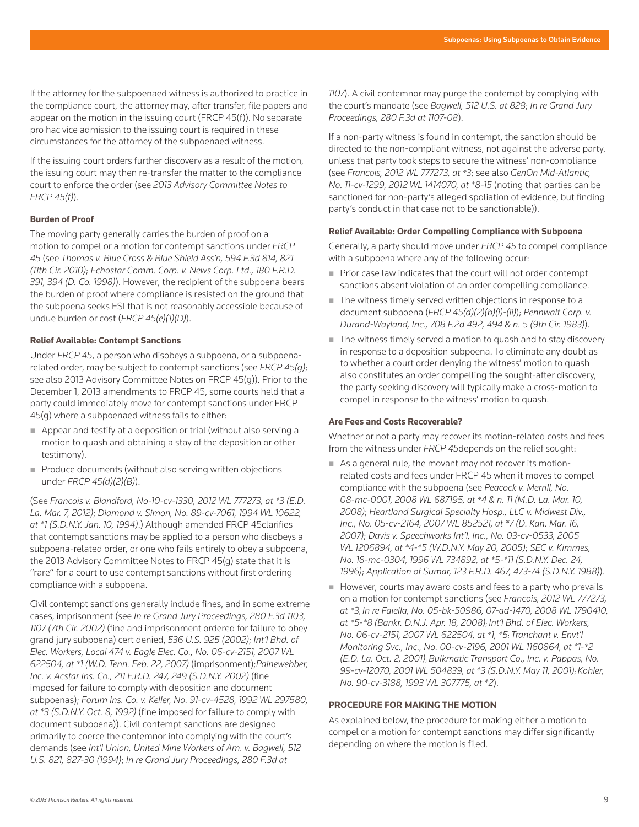If the attorney for the subpoenaed witness is authorized to practice in the compliance court, the attorney may, after transfer, file papers and appear on the motion in the issuing court (FRCP 45(f)). No separate pro hac vice admission to the issuing court is required in these circumstances for the attorney of the subpoenaed witness.

If the issuing court orders further discovery as a result of the motion, the issuing court may then re-transfer the matter to the compliance court to enforce the order (see *2013 Advisory Committee Notes to FRCP 45(f)*).

#### **Burden of Proof**

The moving party generally carries the burden of proof on a motion to compel or a motion for contempt sanctions under *FRCP 45* (see *Thomas v. Blue Cross & Blue Shield Ass'n, 594 F.3d 814, 821 (11th Cir. 2010)*; *Echostar Comm. Corp. v. News Corp. Ltd., 180 F.R.D. 391, 394 (D. Co. 1998)*). However, the recipient of the subpoena bears the burden of proof where compliance is resisted on the ground that the subpoena seeks ESI that is not reasonably accessible because of undue burden or cost (*FRCP 45(e)(1)(D)*).

#### **Relief Available: Contempt Sanctions**

Under *FRCP 45*, a person who disobeys a subpoena, or a subpoenarelated order, may be subject to contempt sanctions (see *FRCP 45(g)*; see also 2013 Advisory Committee Notes on FRCP 45(g)). Prior to the December 1, 2013 amendments to FRCP 45, some courts held that a party could immediately move for contempt sanctions under FRCP 45(g) where a subpoenaed witness fails to either:

- Appear and testify at a deposition or trial (without also serving a motion to quash and obtaining a stay of the deposition or other testimony).
- Produce documents (without also serving written objections under *FRCP 45(d)(2)(B)*).

(See *Francois v. Blandford, No-10-cv-1330, 2012 WL 777273, at \*3 (E.D. La. Mar. 7, 2012)*; *Diamond v. Simon, No. 89-cv-7061, 1994 WL 10622, at \*1 (S.D.N.Y. Jan. 10, 1994)*.) Although amended FRCP 45clarifies that contempt sanctions may be applied to a person who disobeys a subpoena-related order, or one who fails entirely to obey a subpoena, the 2013 Advisory Committee Notes to FRCP 45(g) state that it is "rare" for a court to use contempt sanctions without first ordering compliance with a subpoena.

Civil contempt sanctions generally include fines, and in some extreme cases, imprisonment (see *In re Grand Jury Proceedings, 280 F.3d 1103, 1107 (7th Cir. 2002)* (fine and imprisonment ordered for failure to obey grand jury subpoena) cert denied, *536 U.S. 925 (2002)*; *Int'l Bhd. of Elec. Workers, Local 474 v. Eagle Elec. Co., No. 06-cv-2151, 2007 WL 622504, at \*1 (W.D. Tenn. Feb. 22, 2007)* (imprisonment);*Painewebber, Inc. v. Acstar Ins. Co., 211 F.R.D. 247, 249 (S.D.N.Y. 2002)* (fine imposed for failure to comply with deposition and document subpoenas); *Forum Ins. Co. v. Keller, No. 91-cv-4528, 1992 WL 297580, at \*3 (S.D.N.Y. Oct. 8, 1992)* (fine imposed for failure to comply with document subpoena)). Civil contempt sanctions are designed primarily to coerce the contemnor into complying with the court's demands (see *Int'l Union, United Mine Workers of Am. v. Bagwell, 512 U.S. 821, 827-30 (1994)*; *In re Grand Jury Proceedings, 280 F.3d at* 

*1107*). A civil contemnor may purge the contempt by complying with the court's mandate (see *Bagwell, 512 U.S. at 828*; *In re Grand Jury Proceedings, 280 F.3d at 1107-08*).

If a non-party witness is found in contempt, the sanction should be directed to the non-compliant witness, not against the adverse party, unless that party took steps to secure the witness' non-compliance (see *Francois, 2012 WL 777273, at \*3*; see also *GenOn Mid-Atlantic, No. 11-cv-1299, 2012 WL 1414070, at \*8-15* (noting that parties can be sanctioned for non-party's alleged spoliation of evidence, but finding party's conduct in that case not to be sanctionable)).

#### **Relief Available: Order Compelling Compliance with Subpoena**

Generally, a party should move under *FRCP 45* to compel compliance with a subpoena where any of the following occur:

- Prior case law indicates that the court will not order contempt sanctions absent violation of an order compelling compliance.
- The witness timely served written objections in response to a document subpoena (*FRCP 45(d)(2)(b)(i)-(ii)*); *Pennwalt Corp. v. Durand-Wayland, Inc., 708 F.2d 492, 494 & n. 5 (9th Cir. 1983)*).
- The witness timely served a motion to quash and to stay discovery in response to a deposition subpoena. To eliminate any doubt as to whether a court order denying the witness' motion to quash also constitutes an order compelling the sought-after discovery, the party seeking discovery will typically make a cross-motion to compel in response to the witness' motion to quash.

#### **Are Fees and Costs Recoverable?**

Whether or not a party may recover its motion-related costs and fees from the witness under *FRCP 45*depends on the relief sought:

- As a general rule, the movant may not recover its motionrelated costs and fees under FRCP 45 when it moves to compel compliance with the subpoena (see *Peacock v. Merrill, No. 08-mc-0001, 2008 WL 687195, at \*4 & n. 11 (M.D. La. Mar. 10, 2008)*; *Heartland Surgical Specialty Hosp., LLC v. Midwest Div., Inc., No. 05-cv-2164, 2007 WL 852521, at \*7 (D. Kan. Mar. 16, 2007)*; *Davis v. Speechworks Int'l, Inc., No. 03-cv-0533, 2005 WL 1206894, at \*4-\*5 (W.D.N.Y. May 20, 2005)*; *SEC v. Kimmes, No. 18-mc-0304, 1996 WL 734892, at \*5-\*11 (S.D.N.Y. Dec. 24, 1996)*; *Application of Sumar, 123 F.R.D. 467, 473-74 (S.D.N.Y. 1988)*).
- However, courts may award costs and fees to a party who prevails on a motion for contempt sanctions (see *Francois, 2012 WL 777273, at \*3*; *In re Faiella, No. 05-bk-50986, 07-ad-1470, 2008 WL 1790410, at \*5-\*8 (Bankr. D.N.J. Apr. 18, 2008)*; *Int'l Bhd. of Elec. Workers, No. 06-cv-2151, 2007 WL 622504, at \*1, \*5*; *Tranchant v. Envt'l Monitoring Svc., Inc., No. 00-cv-2196, 2001 WL 1160864, at \*1-\*2 (E.D. La. Oct. 2, 2001)*; *Bulkmatic Transport Co., Inc. v. Pappas, No. 99-cv-12070, 2001 WL 504839, at \*3 (S.D.N.Y. May 11, 2001)*; *Kohler, No. 90-cv-3188, 1993 WL 307775, at \*2*).

# **PROCEDURE FOR MAKING THE MOTION**

As explained below, the procedure for making either a motion to compel or a motion for contempt sanctions may differ significantly depending on where the motion is filed.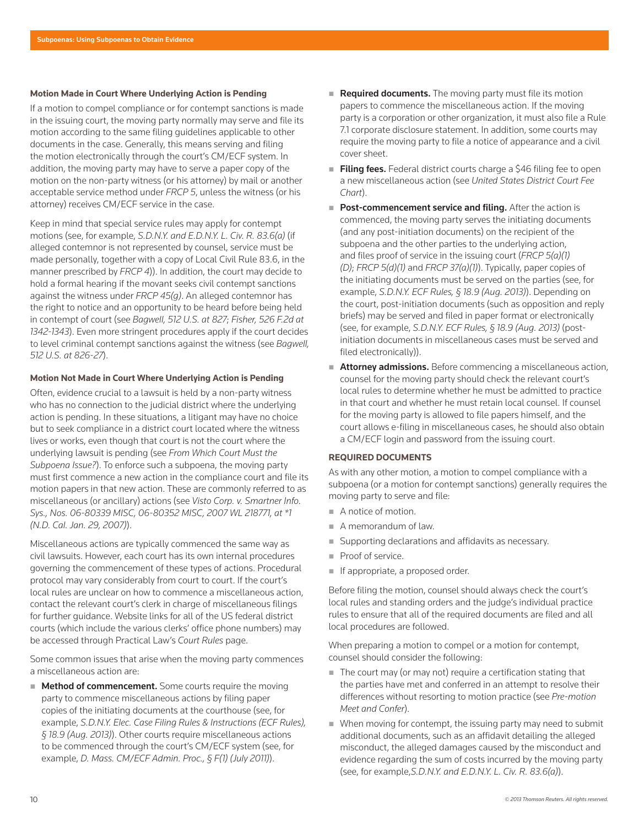#### **Motion Made in Court Where Underlying Action is Pending**

If a motion to compel compliance or for contempt sanctions is made in the issuing court, the moving party normally may serve and file its motion according to the same filing guidelines applicable to other documents in the case. Generally, this means serving and filing the motion electronically through the court's CM/ECF system. In addition, the moving party may have to serve a paper copy of the motion on the non-party witness (or his attorney) by mail or another acceptable service method under *FRCP 5*, unless the witness (or his attorney) receives CM/ECF service in the case.

Keep in mind that special service rules may apply for contempt motions (see, for example, *S.D.N.Y. and E.D.N.Y. L. Civ. R. 83.6(a)* (if alleged contemnor is not represented by counsel, service must be made personally, together with a copy of Local Civil Rule 83.6, in the manner prescribed by *FRCP 4*)). In addition, the court may decide to hold a formal hearing if the movant seeks civil contempt sanctions against the witness under *FRCP 45(g)*. An alleged contemnor has the right to notice and an opportunity to be heard before being held in contempt of court (see *Bagwell, 512 U.S. at 827*; *Fisher, 526 F.2d at 1342-1343*). Even more stringent procedures apply if the court decides to level criminal contempt sanctions against the witness (see *Bagwell, 512 U.S. at 826-27*).

# **Motion Not Made in Court Where Underlying Action is Pending**

Often, evidence crucial to a lawsuit is held by a non-party witness who has no connection to the judicial district where the underlying action is pending. In these situations, a litigant may have no choice but to seek compliance in a district court located where the witness lives or works, even though that court is not the court where the underlying lawsuit is pending (see *From Which Court Must the Subpoena Issue?*). To enforce such a subpoena, the moving party must first commence a new action in the compliance court and file its motion papers in that new action. These are commonly referred to as miscellaneous (or ancillary) actions (see *Visto Corp. v. Smartner Info. Sys., Nos. 06-80339 MISC, 06-80352 MISC, 2007 WL 218771, at \*1 (N.D. Cal. Jan. 29, 2007)*).

Miscellaneous actions are typically commenced the same way as civil lawsuits. However, each court has its own internal procedures governing the commencement of these types of actions. Procedural protocol may vary considerably from court to court. If the court's local rules are unclear on how to commence a miscellaneous action, contact the relevant court's clerk in charge of miscellaneous filings for further guidance. Website links for all of the US federal district courts (which include the various clerks' office phone numbers) may be accessed through Practical Law's *Court Rules* page.

Some common issues that arise when the moving party commences a miscellaneous action are:

**Method of commencement.** Some courts require the moving party to commence miscellaneous actions by filing paper copies of the initiating documents at the courthouse (see, for example, *S.D.N.Y. Elec. Case Filing Rules & Instructions (ECF Rules), § 18.9 (Aug. 2013)*). Other courts require miscellaneous actions to be commenced through the court's CM/ECF system (see, for example, *D. Mass. CM/ECF Admin. Proc., § F(1) (July 2011)*).

- Required documents. The moving party must file its motion papers to commence the miscellaneous action. If the moving party is a corporation or other organization, it must also file a Rule 7.1 corporate disclosure statement. In addition, some courts may require the moving party to file a notice of appearance and a civil cover sheet.
- Filing fees. Federal district courts charge a \$46 filing fee to open a new miscellaneous action (see *United States District Court Fee Chart*).
- Post-commencement service and filing. After the action is commenced, the moving party serves the initiating documents (and any post-initiation documents) on the recipient of the subpoena and the other parties to the underlying action, and files proof of service in the issuing court (*FRCP 5(a)(1) (D)*; *FRCP 5(d)(1)* and *FRCP 37(a)(1)*). Typically, paper copies of the initiating documents must be served on the parties (see, for example, *S.D.N.Y. ECF Rules, § 18.9 (Aug. 2013)*). Depending on the court, post-initiation documents (such as opposition and reply briefs) may be served and filed in paper format or electronically (see, for example, *S.D.N.Y. ECF Rules, § 18.9 (Aug. 2013)* (postinitiation documents in miscellaneous cases must be served and filed electronically)).
- **Attorney admissions.** Before commencing a miscellaneous action, counsel for the moving party should check the relevant court's local rules to determine whether he must be admitted to practice in that court and whether he must retain local counsel. If counsel for the moving party is allowed to file papers himself, and the court allows e-filing in miscellaneous cases, he should also obtain a CM/ECF login and password from the issuing court.

#### **REQUIRED DOCUMENTS**

As with any other motion, a motion to compel compliance with a subpoena (or a motion for contempt sanctions) generally requires the moving party to serve and file:

- A notice of motion.
- A memorandum of law.
- Supporting declarations and affidavits as necessary.
- Proof of service.
- If appropriate, a proposed order.

Before filing the motion, counsel should always check the court's local rules and standing orders and the judge's individual practice rules to ensure that all of the required documents are filed and all local procedures are followed.

When preparing a motion to compel or a motion for contempt, counsel should consider the following:

- $\blacksquare$  The court may (or may not) require a certification stating that the parties have met and conferred in an attempt to resolve their differences without resorting to motion practice (see *Pre-motion Meet and Confer*).
- When moving for contempt, the issuing party may need to submit additional documents, such as an affidavit detailing the alleged misconduct, the alleged damages caused by the misconduct and evidence regarding the sum of costs incurred by the moving party (see, for example,*S.D.N.Y. and E.D.N.Y. L. Civ. R. 83.6(a)*).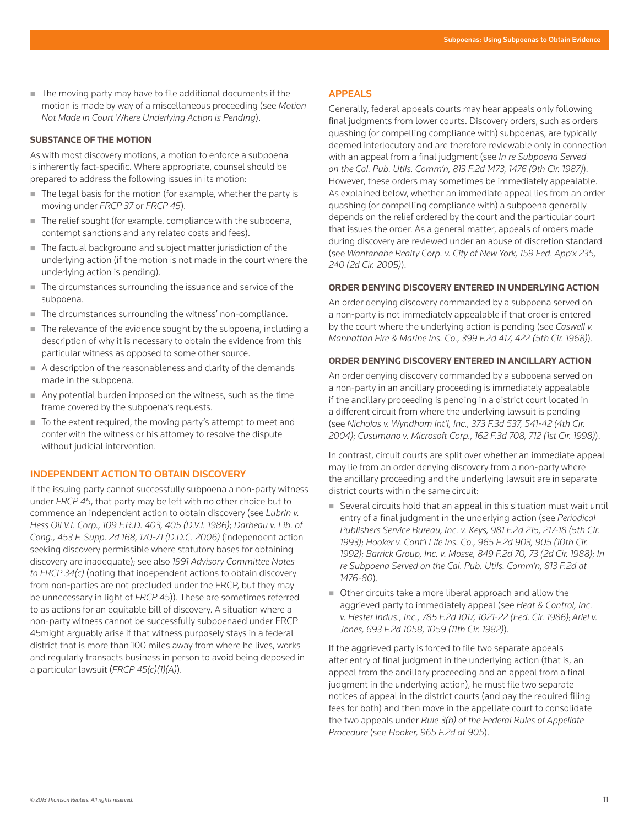■ The moving party may have to file additional documents if the motion is made by way of a miscellaneous proceeding (see *Motion Not Made in Court Where Underlying Action is Pending*).

## **SUBSTANCE OF THE MOTION**

As with most discovery motions, a motion to enforce a subpoena is inherently fact-specific. Where appropriate, counsel should be prepared to address the following issues in its motion:

- The legal basis for the motion (for example, whether the party is moving under *FRCP 37* or *FRCP 45*).
- $\blacksquare$  The relief sought (for example, compliance with the subpoena, contempt sanctions and any related costs and fees).
- The factual background and subject matter jurisdiction of the underlying action (if the motion is not made in the court where the underlying action is pending).
- The circumstances surrounding the issuance and service of the subpoena.
- The circumstances surrounding the witness' non-compliance.
- $\blacksquare$  The relevance of the evidence sought by the subpoena, including a description of why it is necessary to obtain the evidence from this particular witness as opposed to some other source.
- A description of the reasonableness and clarity of the demands made in the subpoena.
- Any potential burden imposed on the witness, such as the time frame covered by the subpoena's requests.
- To the extent required, the moving party's attempt to meet and confer with the witness or his attorney to resolve the dispute without judicial intervention.

# INDEPENDENT ACTION TO OBTAIN DISCOVERY

If the issuing party cannot successfully subpoena a non-party witness under *FRCP 45*, that party may be left with no other choice but to commence an independent action to obtain discovery (see *Lubrin v. Hess Oil V.I. Corp., 109 F.R.D. 403, 405 (D.V.I. 1986)*; *Darbeau v. Lib. of Cong., 453 F. Supp. 2d 168, 170-71 (D.D.C. 2006)* (independent action seeking discovery permissible where statutory bases for obtaining discovery are inadequate); see also *1991 Advisory Committee Notes to FRCP 34(c)* (noting that independent actions to obtain discovery from non-parties are not precluded under the FRCP, but they may be unnecessary in light of *FRCP 45*)). These are sometimes referred to as actions for an equitable bill of discovery. A situation where a non-party witness cannot be successfully subpoenaed under FRCP 45might arguably arise if that witness purposely stays in a federal district that is more than 100 miles away from where he lives, works and regularly transacts business in person to avoid being deposed in a particular lawsuit (*FRCP 45(c)(1)(A)*).

# APPEALS

Generally, federal appeals courts may hear appeals only following final judgments from lower courts. Discovery orders, such as orders quashing (or compelling compliance with) subpoenas, are typically deemed interlocutory and are therefore reviewable only in connection with an appeal from a final judgment (see *In re Subpoena Served on the Cal. Pub. Utils. Comm'n, 813 F.2d 1473, 1476 (9th Cir. 1987)*). However, these orders may sometimes be immediately appealable. As explained below, whether an immediate appeal lies from an order quashing (or compelling compliance with) a subpoena generally depends on the relief ordered by the court and the particular court that issues the order. As a general matter, appeals of orders made during discovery are reviewed under an abuse of discretion standard (see *Wantanabe Realty Corp. v. City of New York, 159 Fed. App'x 235, 240 (2d Cir. 2005)*).

# **ORDER DENYING DISCOVERY ENTERED IN UNDERLYING ACTION**

An order denying discovery commanded by a subpoena served on a non-party is not immediately appealable if that order is entered by the court where the underlying action is pending (see *Caswell v. Manhattan Fire & Marine Ins. Co., 399 F.2d 417, 422 (5th Cir. 1968)*).

# **ORDER DENYING DISCOVERY ENTERED IN ANCILLARY ACTION**

An order denying discovery commanded by a subpoena served on a non-party in an ancillary proceeding is immediately appealable if the ancillary proceeding is pending in a district court located in a different circuit from where the underlying lawsuit is pending (see *Nicholas v. Wyndham Int'l, Inc., 373 F.3d 537, 541-42 (4th Cir. 2004)*; *Cusumano v. Microsoft Corp., 162 F.3d 708, 712 (1st Cir. 1998)*).

In contrast, circuit courts are split over whether an immediate appeal may lie from an order denying discovery from a non-party where the ancillary proceeding and the underlying lawsuit are in separate district courts within the same circuit:

- Several circuits hold that an appeal in this situation must wait until entry of a final judgment in the underlying action (see *Periodical Publishers Service Bureau, Inc. v. Keys, 981 F.2d 215, 217-18 (5th Cir. 1993)*; *Hooker v. Cont'l Life Ins. Co., 965 F.2d 903, 905 (10th Cir. 1992)*; *Barrick Group, Inc. v. Mosse, 849 F.2d 70, 73 (2d Cir. 1988)*; *In re Subpoena Served on the Cal. Pub. Utils. Comm'n, 813 F.2d at 1476-80*).
- Other circuits take a more liberal approach and allow the aggrieved party to immediately appeal (see *Heat & Control, Inc. v. Hester Indus., Inc., 785 F.2d 1017, 1021-22 (Fed. Cir. 1986)*; *Ariel v. Jones, 693 F.2d 1058, 1059 (11th Cir. 1982)*).

If the aggrieved party is forced to file two separate appeals after entry of final judgment in the underlying action (that is, an appeal from the ancillary proceeding and an appeal from a final judgment in the underlying action), he must file two separate notices of appeal in the district courts (and pay the required filing fees for both) and then move in the appellate court to consolidate the two appeals under *Rule 3(b) of the Federal Rules of Appellate Procedure* (see *Hooker, 965 F.2d at 905*).